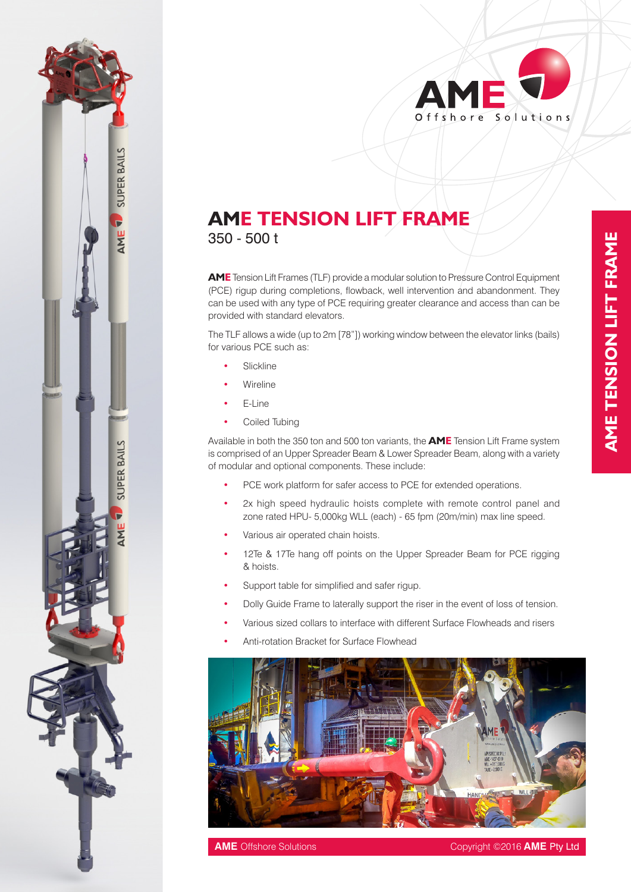

# **AME TENSION LIFT FRAME** 350 - 500 t

**AME** Tension Lift Frames (TLF) provide a modular solution to Pressure Control Equipment (PCE) rigup during completions, flowback, well intervention and abandonment. They can be used with any type of PCE requiring greater clearance and access than can be provided with standard elevators.

The TLF allows a wide (up to 2m [78"]) working window between the elevator links (bails) for various PCE such as:

- **Slickline**
- **Wireline**
- E-Line
- Coiled Tubing

Available in both the 350 ton and 500 ton variants, the **AME** Tension Lift Frame system is comprised of an Upper Spreader Beam & Lower Spreader Beam, along with a variety of modular and optional components. These include:

- PCE work platform for safer access to PCE for extended operations.
- 2x high speed hydraulic hoists complete with remote control panel and zone rated HPU- 5,000kg WLL (each) - 65 fpm (20m/min) max line speed.
- Various air operated chain hoists.
- 12Te & 17Te hang off points on the Upper Spreader Beam for PCE rigging & hoists.
- Support table for simplified and safer rigup.
- Dolly Guide Frame to laterally support the riser in the event of loss of tension.
- Various sized collars to interface with different Surface Flowheads and risers
- Anti-rotation Bracket for Surface Flowhead





**SUPER BAILS** 

**SUPER BAILS** 

P **AME**